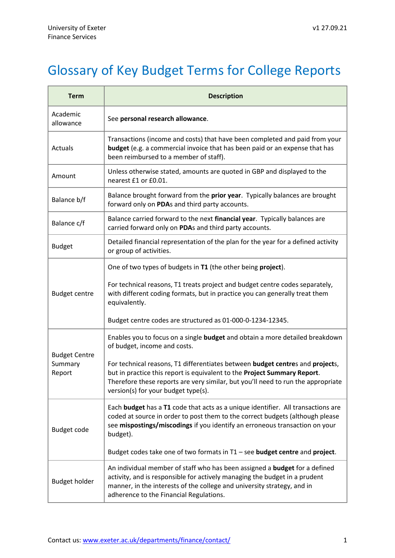## Glossary of Key Budget Terms for College Reports

| <b>Term</b>                               | <b>Description</b>                                                                                                                                                                                                                                                                    |
|-------------------------------------------|---------------------------------------------------------------------------------------------------------------------------------------------------------------------------------------------------------------------------------------------------------------------------------------|
| Academic<br>allowance                     | See personal research allowance.                                                                                                                                                                                                                                                      |
| Actuals                                   | Transactions (income and costs) that have been completed and paid from your<br>budget (e.g. a commercial invoice that has been paid or an expense that has<br>been reimbursed to a member of staff).                                                                                  |
| Amount                                    | Unless otherwise stated, amounts are quoted in GBP and displayed to the<br>nearest £1 or £0.01.                                                                                                                                                                                       |
| Balance b/f                               | Balance brought forward from the prior year. Typically balances are brought<br>forward only on PDAs and third party accounts.                                                                                                                                                         |
| Balance c/f                               | Balance carried forward to the next financial year. Typically balances are<br>carried forward only on PDAs and third party accounts.                                                                                                                                                  |
| <b>Budget</b>                             | Detailed financial representation of the plan for the year for a defined activity<br>or group of activities.                                                                                                                                                                          |
|                                           | One of two types of budgets in T1 (the other being project).                                                                                                                                                                                                                          |
| <b>Budget centre</b>                      | For technical reasons, T1 treats project and budget centre codes separately,<br>with different coding formats, but in practice you can generally treat them<br>equivalently.                                                                                                          |
|                                           | Budget centre codes are structured as 01-000-0-1234-12345.                                                                                                                                                                                                                            |
|                                           | Enables you to focus on a single budget and obtain a more detailed breakdown<br>of budget, income and costs.                                                                                                                                                                          |
| <b>Budget Centre</b><br>Summary<br>Report | For technical reasons, T1 differentiates between budget centres and projects,<br>but in practice this report is equivalent to the Project Summary Report.<br>Therefore these reports are very similar, but you'll need to run the appropriate<br>version(s) for your budget type(s).  |
| Budget code                               | Each budget has a T1 code that acts as a unique identifier. All transactions are<br>coded at source in order to post them to the correct budgets (although please<br>see mispostings/miscodings if you identify an erroneous transaction on your<br>budget).                          |
|                                           | Budget codes take one of two formats in T1 - see budget centre and project.                                                                                                                                                                                                           |
| <b>Budget holder</b>                      | An individual member of staff who has been assigned a <b>budget</b> for a defined<br>activity, and is responsible for actively managing the budget in a prudent<br>manner, in the interests of the college and university strategy, and in<br>adherence to the Financial Regulations. |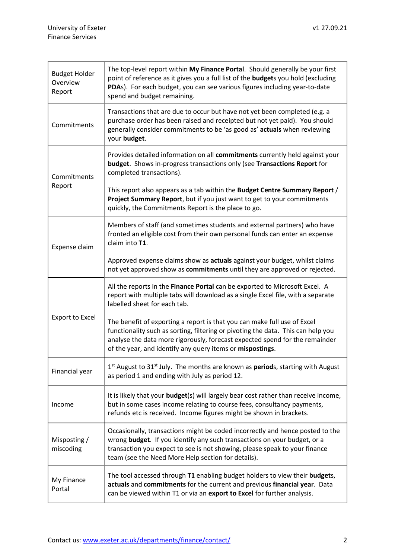| <b>Budget Holder</b><br>Overview<br>Report | The top-level report within My Finance Portal. Should generally be your first<br>point of reference as it gives you a full list of the <b>budget</b> s you hold (excluding<br>PDAs). For each budget, you can see various figures including year-to-date<br>spend and budget remaining.                  |
|--------------------------------------------|----------------------------------------------------------------------------------------------------------------------------------------------------------------------------------------------------------------------------------------------------------------------------------------------------------|
| Commitments                                | Transactions that are due to occur but have not yet been completed (e.g. a<br>purchase order has been raised and receipted but not yet paid). You should<br>generally consider commitments to be 'as good as' actuals when reviewing<br>your budget.                                                     |
| Commitments<br>Report                      | Provides detailed information on all commitments currently held against your<br><b>budget.</b> Shows in-progress transactions only (see Transactions Report for<br>completed transactions).                                                                                                              |
|                                            | This report also appears as a tab within the Budget Centre Summary Report /<br>Project Summary Report, but if you just want to get to your commitments<br>quickly, the Commitments Report is the place to go.                                                                                            |
| Expense claim                              | Members of staff (and sometimes students and external partners) who have<br>fronted an eligible cost from their own personal funds can enter an expense<br>claim into T1.                                                                                                                                |
|                                            | Approved expense claims show as actuals against your budget, whilst claims<br>not yet approved show as commitments until they are approved or rejected.                                                                                                                                                  |
| <b>Export to Excel</b>                     | All the reports in the Finance Portal can be exported to Microsoft Excel. A<br>report with multiple tabs will download as a single Excel file, with a separate<br>labelled sheet for each tab.                                                                                                           |
|                                            | The benefit of exporting a report is that you can make full use of Excel<br>functionality such as sorting, filtering or pivoting the data. This can help you<br>analyse the data more rigorously, forecast expected spend for the remainder<br>of the year, and identify any query items or mispostings. |
| Financial year                             | $1st$ August to 31 $st$ July. The months are known as <b>period</b> s, starting with August<br>as period 1 and ending with July as period 12.                                                                                                                                                            |
| Income                                     | It is likely that your <b>budget</b> (s) will largely bear cost rather than receive income,<br>but in some cases income relating to course fees, consultancy payments,<br>refunds etc is received. Income figures might be shown in brackets.                                                            |
| Misposting /<br>miscoding                  | Occasionally, transactions might be coded incorrectly and hence posted to the<br>wrong budget. If you identify any such transactions on your budget, or a<br>transaction you expect to see is not showing, please speak to your finance<br>team (see the Need More Help section for details).            |
| My Finance<br>Portal                       | The tool accessed through T1 enabling budget holders to view their budgets,<br>actuals and commitments for the current and previous financial year. Data<br>can be viewed within T1 or via an export to Excel for further analysis.                                                                      |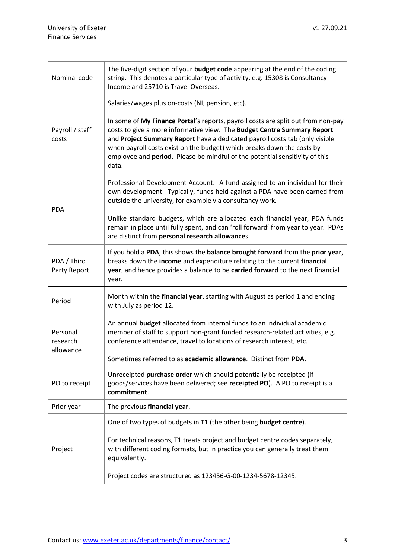| Nominal code                      | The five-digit section of your budget code appearing at the end of the coding<br>string. This denotes a particular type of activity, e.g. 15308 is Consultancy<br>Income and 25710 is Travel Overseas.                                                                                                                                                                                                       |
|-----------------------------------|--------------------------------------------------------------------------------------------------------------------------------------------------------------------------------------------------------------------------------------------------------------------------------------------------------------------------------------------------------------------------------------------------------------|
| Payroll / staff<br>costs          | Salaries/wages plus on-costs (NI, pension, etc).                                                                                                                                                                                                                                                                                                                                                             |
|                                   | In some of My Finance Portal's reports, payroll costs are split out from non-pay<br>costs to give a more informative view. The Budget Centre Summary Report<br>and Project Summary Report have a dedicated payroll costs tab (only visible<br>when payroll costs exist on the budget) which breaks down the costs by<br>employee and period. Please be mindful of the potential sensitivity of this<br>data. |
| <b>PDA</b>                        | Professional Development Account. A fund assigned to an individual for their<br>own development. Typically, funds held against a PDA have been earned from<br>outside the university, for example via consultancy work.                                                                                                                                                                                      |
|                                   | Unlike standard budgets, which are allocated each financial year, PDA funds<br>remain in place until fully spent, and can 'roll forward' from year to year. PDAs<br>are distinct from personal research allowances.                                                                                                                                                                                          |
| PDA / Third<br>Party Report       | If you hold a PDA, this shows the balance brought forward from the prior year,<br>breaks down the income and expenditure relating to the current financial<br>year, and hence provides a balance to be carried forward to the next financial<br>year.                                                                                                                                                        |
| Period                            | Month within the financial year, starting with August as period 1 and ending<br>with July as period 12.                                                                                                                                                                                                                                                                                                      |
| Personal<br>research<br>allowance | An annual <b>budget</b> allocated from internal funds to an individual academic<br>member of staff to support non-grant funded research-related activities, e.g.<br>conference attendance, travel to locations of research interest, etc.                                                                                                                                                                    |
|                                   | Sometimes referred to as academic allowance. Distinct from PDA.                                                                                                                                                                                                                                                                                                                                              |
| PO to receipt                     | Unreceipted purchase order which should potentially be receipted (if<br>goods/services have been delivered; see receipted PO). A PO to receipt is a<br>commitment.                                                                                                                                                                                                                                           |
| Prior year                        | The previous financial year.                                                                                                                                                                                                                                                                                                                                                                                 |
| Project                           | One of two types of budgets in T1 (the other being budget centre).                                                                                                                                                                                                                                                                                                                                           |
|                                   | For technical reasons, T1 treats project and budget centre codes separately,<br>with different coding formats, but in practice you can generally treat them<br>equivalently.                                                                                                                                                                                                                                 |
|                                   | Project codes are structured as 123456-G-00-1234-5678-12345.                                                                                                                                                                                                                                                                                                                                                 |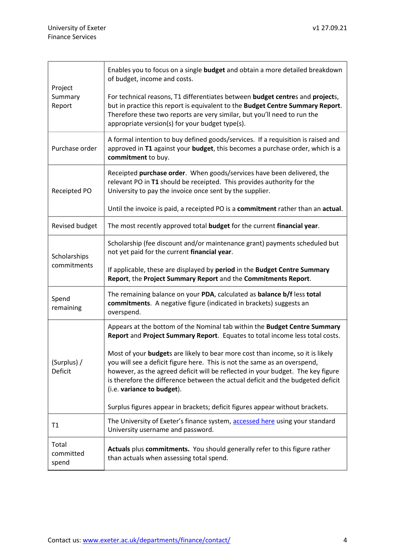ł.

| Project<br>Summary<br>Report | Enables you to focus on a single <b>budget</b> and obtain a more detailed breakdown<br>of budget, income and costs.<br>For technical reasons, T1 differentiates between budget centres and projects,<br>but in practice this report is equivalent to the Budget Centre Summary Report.<br>Therefore these two reports are very similar, but you'll need to run the<br>appropriate version(s) for your budget type(s).                                                                                                                                                                                        |
|------------------------------|--------------------------------------------------------------------------------------------------------------------------------------------------------------------------------------------------------------------------------------------------------------------------------------------------------------------------------------------------------------------------------------------------------------------------------------------------------------------------------------------------------------------------------------------------------------------------------------------------------------|
| Purchase order               | A formal intention to buy defined goods/services. If a requisition is raised and<br>approved in T1 against your budget, this becomes a purchase order, which is a<br>commitment to buy.                                                                                                                                                                                                                                                                                                                                                                                                                      |
| Receipted PO                 | Receipted purchase order. When goods/services have been delivered, the<br>relevant PO in T1 should be receipted. This provides authority for the<br>University to pay the invoice once sent by the supplier.<br>Until the invoice is paid, a receipted PO is a commitment rather than an actual.                                                                                                                                                                                                                                                                                                             |
| Revised budget               | The most recently approved total budget for the current financial year.                                                                                                                                                                                                                                                                                                                                                                                                                                                                                                                                      |
| Scholarships<br>commitments  | Scholarship (fee discount and/or maintenance grant) payments scheduled but<br>not yet paid for the current financial year.<br>If applicable, these are displayed by period in the Budget Centre Summary<br>Report, the Project Summary Report and the Commitments Report.                                                                                                                                                                                                                                                                                                                                    |
| Spend<br>remaining           | The remaining balance on your PDA, calculated as balance b/f less total<br>commitments. A negative figure (indicated in brackets) suggests an<br>overspend.                                                                                                                                                                                                                                                                                                                                                                                                                                                  |
| (Surplus) /<br>Deficit       | Appears at the bottom of the Nominal tab within the Budget Centre Summary<br>Report and Project Summary Report. Equates to total income less total costs.<br>Most of your budgets are likely to bear more cost than income, so it is likely<br>you will see a deficit figure here. This is not the same as an overspend,<br>however, as the agreed deficit will be reflected in your budget. The key figure<br>is therefore the difference between the actual deficit and the budgeted deficit<br>(i.e. variance to budget).<br>Surplus figures appear in brackets; deficit figures appear without brackets. |
| T1                           | The University of Exeter's finance system, accessed here using your standard<br>University username and password.                                                                                                                                                                                                                                                                                                                                                                                                                                                                                            |
| Total<br>committed<br>spend  | Actuals plus commitments. You should generally refer to this figure rather<br>than actuals when assessing total spend.                                                                                                                                                                                                                                                                                                                                                                                                                                                                                       |